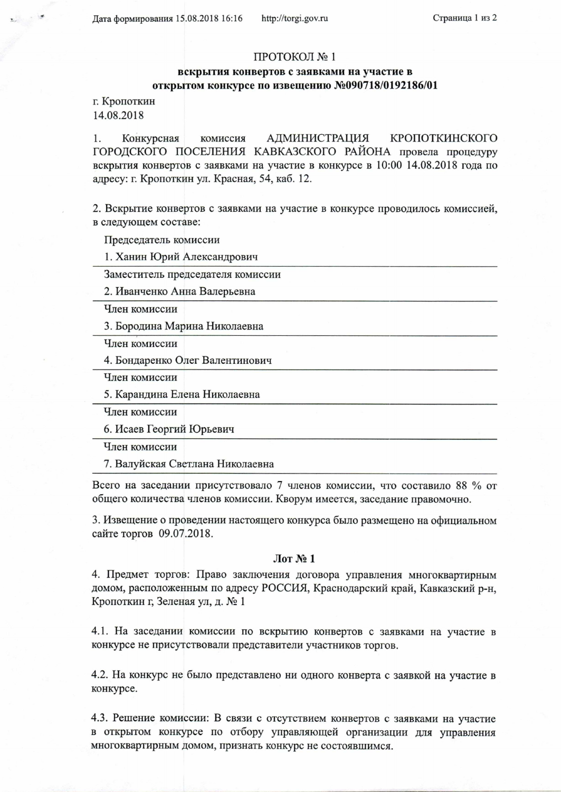Дата формирования 15.08.2018 16:16

## ПРОТОКОЛ № 1

## вскрытия конвертов с заявками на участие в открытом конкурсе по извещению №090718/0192186/01

г. Кропоткин 14.08.2018

1. Конкурсная комиссия АДМИНИСТРАЦИЯ КРОПОТКИНСКОГО ГОРОДСКОГО ПОСЕЛЕНИЯ КАВКАЗСКОГО РАЙОНА провела процедуру вскрытия конвертов с заявками на участие в конкурсе в 10:00 14.08.2018 года по адресу: г. Кропоткин ул. Красная, 54, каб. 12.

2. Вскрытие конвертов с заявками на участие в конкурсе проводилось комиссией, в следующем составе:

Председатель комиссии

1. Ханин Юрий Александрович

Заместитель председателя комиссии

2. Иванченко Анна Валерьевна

Член комиссии

3. Бородина Марина Николаевна

Член комиссии

4. Бондаренко Олег Валентинович

Член комиссии

5. Карандина Елена Николаевна

Член комиссии

6. Исаев Георгий Юрьевич

Член комиссии

7. Валуйская Светлана Николаевна

Всего на заседании присутствовало 7 членов комиссии, что составило 88 % от общего количества членов комиссии. Кворум имеется, заседание правомочно.

3. Извещение о проведении настоящего конкурса было размещено на официальном сайте торгов 09.07.2018.

## $\pi N_2 1$

4. Предмет торгов: Право заключения договора управления многоквартирным домом, расположенным по адресу РОССИЯ, Краснодарский край, Кавказский р-н, Кропоткин г, Зеленая ул, д. № 1

4.1. На заседании комиссии по вскрытию конвертов с заявками на участие в конкурсе не присутствовали представители участников торгов.

4.2. На конкурс не было представлено ни одного конверта с заявкой на участие в конкурсе.

4.3. Решение комиссии: В связи с отсутствием конвертов с заявками на участие в открытом конкурсе по отбору управляющей организации для управления многоквартирным домом, признать конкурс не состоявшимся.